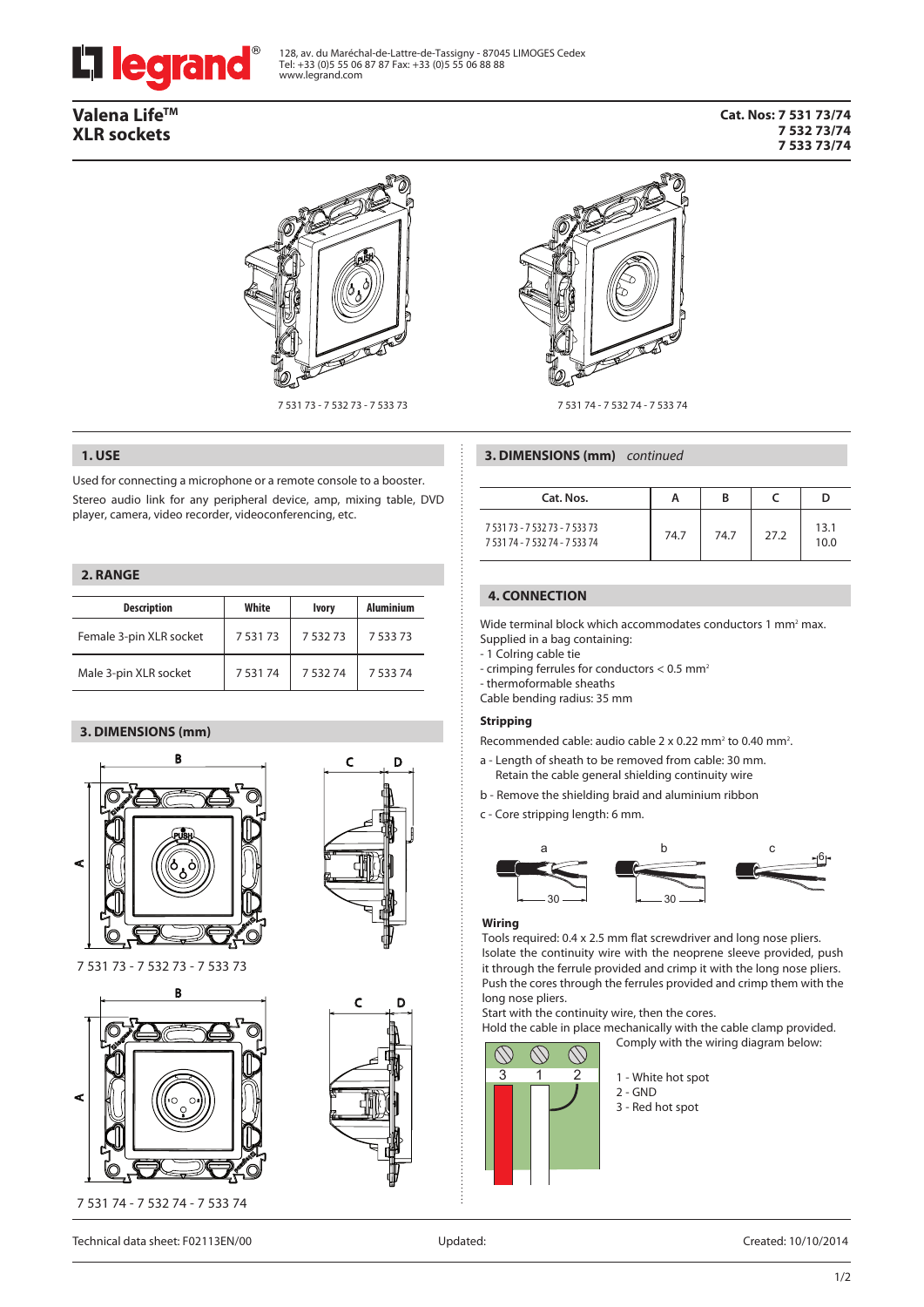

128, av. du Maréchal-de-Lattre-de-Tassigny - 87045 LIMOGES Cedex Tel: +33 (0)5 55 06 87 87 Fax: +33 (0)5 55 06 88 88 www.legrand.com

# **Valena LifeTM XLR sockets**

#### **Cat. Nos: 7 531 73/74 7 532 73/74 7 533 73/74**



7 531 73 - 7 532 73 - 7 533 73

### **1. USE**

Used for connecting a microphone or a remote console to a booster. Stereo audio link for any peripheral device, amp, mixing table, DVD player, camera, video recorder, videoconferencing, etc.

### **2. RANGE**

| <b>Description</b>      | White       | <b>Ivory</b> | <b>Aluminium</b> |  |
|-------------------------|-------------|--------------|------------------|--|
| Female 3-pin XLR socket | 7 5 3 1 7 3 | 7 5 3 2 7 3  | 7 5 3 7 3        |  |
| Male 3-pin XLR socket   | 753174      | 753274       | 7 5 3 7 4        |  |

### **3. DIMENSIONS (mm)**





7 531 73 - 7 532 73 - 7 533 73







7 531 74 - 7 532 74 - 7 533 74

| Cat. Nos.                                                        | А    | B    |      |              |
|------------------------------------------------------------------|------|------|------|--------------|
| 7 531 73 - 7 532 73 - 7 533 73<br>7 531 74 - 7 532 74 - 7 533 74 | 74.7 | 74.7 | 27.2 | 13.1<br>10.0 |

### **4. CONNECTION**

Wide terminal block which accommodates conductors 1 mm<sup>2</sup> max. Supplied in a bag containing:

- 1 Colring cable tie
- crimping ferrules for conductors < 0.5 mm<sup>2</sup>
- thermoformable sheaths
- Cable bending radius: 35 mm

#### **Stripping**

Recommended cable: audio cable  $2 \times 0.22$  mm<sup>2</sup> to 0.40 mm<sup>2</sup>.

- a Length of sheath to be removed from cable: 30 mm. Retain the cable general shielding continuity wire
- b Remove the shielding braid and aluminium ribbon
- c Core stripping length: 6 mm.



#### **Wiring**

Tools required: 0.4 x 2.5 mm flat screwdriver and long nose pliers. Isolate the continuity wire with the neoprene sleeve provided, push it through the ferrule provided and crimp it with the long nose pliers. Push the cores through the ferrules provided and crimp them with the long nose pliers.

Start with the continuity wire, then the cores.

Hold the cable in place mechanically with the cable clamp provided. Comply with the wiring diagram below:



1 - White hot spot 2 - GND

3 - Red hot spot